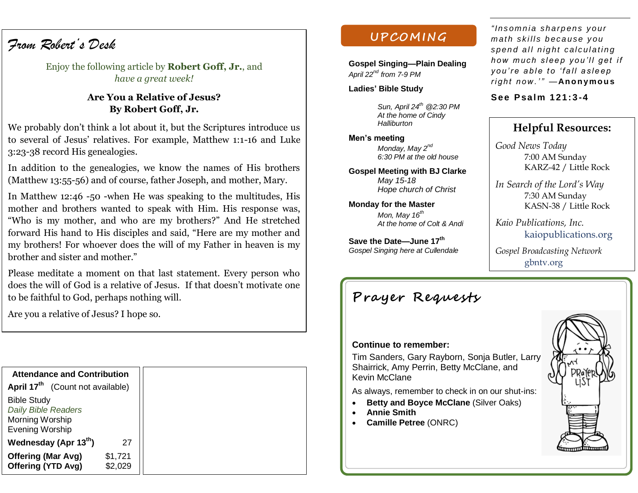*From Robert's Desk*

Enjoy the following article by **Robert Goff, Jr.**, and *have a great week!*

### **Are You a Relative of Jesus? By Robert Goff, Jr.**

We probably don't think a lot about it, but the Scriptures introduce us to several of Jesus' relatives. For example, Matthew 1:1-16 and Luke 3:23-38 record His genealogies.

In addition to the genealogies, we know the names of His brothers (Matthew 13:55-56) and of course, father Joseph, and mother, Mary.

In Matthew 12:46 -50 -when He was speaking to the multitudes, His mother and brothers wanted to speak with Him. His response was, "Who is my mother, and who are my brothers?" And He stretched forward His hand to His disciples and said, "Here are my mother and my brothers! For whoever does the will of my Father in heaven is my brother and sister and mother."

Please meditate a moment on that last statement. Every person who does the will of God is a relative of Jesus. If that doesn't motivate one to be faithful to God, perhaps nothing will.

Are you a relative of Jesus? I hope so.

## **Attendance and Contribution April 17 th** (Count not available) Bible Study *Daily Bible Readers*  Morning Worship Evening Worship **Wednesday (Apr 13th)** 27 **Offering (Mar Avg)** \$1,721 **Offering (YTD Avg)** \$2,029

# **UPCOM ING**

**Gospel Singing—Plain Dealing** *April 22nd from 7-9 PM* **EVENT** SERVICE

**Ladies' Bible Study**

*Sun, April 24th @2:30 PM At the home of Cindy Halliburton*

**Men's meeting** *Monday, May 2nd 6:30 PM at the old house*

**Gospel Meeting with BJ Clarke** *May 15-18 Hope church of Christ*

**Monday for the Master** *Mon, May 16th At the home of Colt & Andi*

**Save the Date—June 17th** *Gospel Singing here at Cullendale*

*"Ins om n ia s h ar p ens y our m at h s k i lls b ec a us e y ou s pen d al l n ig ht c alc ul at in g how m uc h s l ee p y ou 'l l get if you're able to 'fall asleep r ight now . ' " —***An o n ymo u s** 

**Se e Psa lm 1 2 1 : 3 -4**

## **Helpful Resources:**

*Good News Today* 7:00 AM Sunday KARZ-42 / Little Rock

*In Search of the Lord's Way* 7:30 AM Sunday KASN-38 / Little Rock

*Kaio Publications, Inc.* kaiopublications.org

*Gospel Broadcasting Network* gbntv.org

# **Prayer Requests**

#### **Continue to remember:**

Tim Sanders, Gary Rayborn, Sonja Butler, Larry Shairrick, Amy Perrin, Betty McClane, and Kevin McClane

As always, remember to check in on our shut-ins:

- **Betty and Boyce McClane (Silver Oaks)**
- **Annie Smith**
- **Camille Petree** (ONRC)